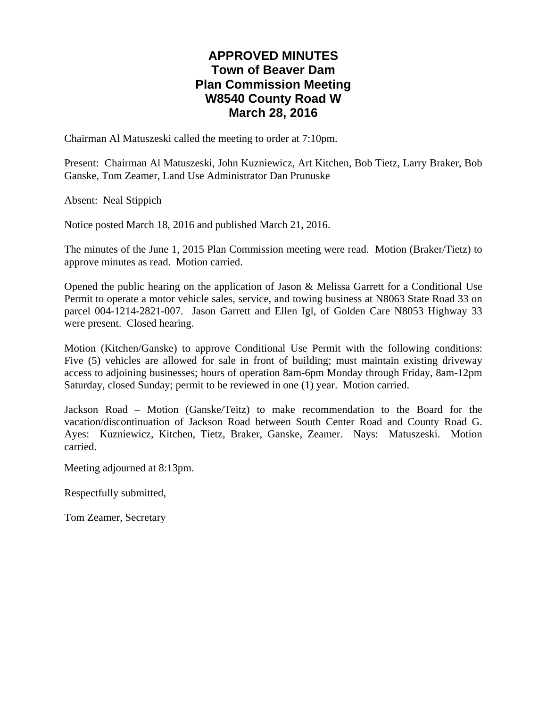# **APPROVED MINUTES Town of Beaver Dam Plan Commission Meeting W8540 County Road W March 28, 2016**

Chairman Al Matuszeski called the meeting to order at 7:10pm.

Present: Chairman Al Matuszeski, John Kuzniewicz, Art Kitchen, Bob Tietz, Larry Braker, Bob Ganske, Tom Zeamer, Land Use Administrator Dan Prunuske

Absent: Neal Stippich

Notice posted March 18, 2016 and published March 21, 2016.

The minutes of the June 1, 2015 Plan Commission meeting were read. Motion (Braker/Tietz) to approve minutes as read. Motion carried.

Opened the public hearing on the application of Jason & Melissa Garrett for a Conditional Use Permit to operate a motor vehicle sales, service, and towing business at N8063 State Road 33 on parcel 004-1214-2821-007. Jason Garrett and Ellen Igl, of Golden Care N8053 Highway 33 were present. Closed hearing.

Motion (Kitchen/Ganske) to approve Conditional Use Permit with the following conditions: Five (5) vehicles are allowed for sale in front of building; must maintain existing driveway access to adjoining businesses; hours of operation 8am-6pm Monday through Friday, 8am-12pm Saturday, closed Sunday; permit to be reviewed in one (1) year. Motion carried.

Jackson Road – Motion (Ganske/Teitz) to make recommendation to the Board for the vacation/discontinuation of Jackson Road between South Center Road and County Road G. Ayes: Kuzniewicz, Kitchen, Tietz, Braker, Ganske, Zeamer. Nays: Matuszeski. Motion carried.

Meeting adjourned at 8:13pm.

Respectfully submitted,

Tom Zeamer, Secretary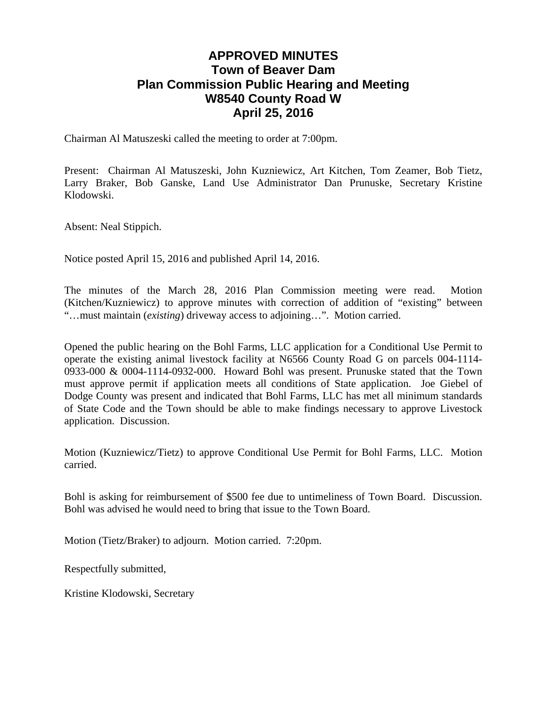# **APPROVED MINUTES Town of Beaver Dam Plan Commission Public Hearing and Meeting W8540 County Road W April 25, 2016**

Chairman Al Matuszeski called the meeting to order at 7:00pm.

Present: Chairman Al Matuszeski, John Kuzniewicz, Art Kitchen, Tom Zeamer, Bob Tietz, Larry Braker, Bob Ganske, Land Use Administrator Dan Prunuske, Secretary Kristine Klodowski.

Absent: Neal Stippich.

Notice posted April 15, 2016 and published April 14, 2016.

The minutes of the March 28, 2016 Plan Commission meeting were read. Motion (Kitchen/Kuzniewicz) to approve minutes with correction of addition of "existing" between "…must maintain (*existing*) driveway access to adjoining…". Motion carried.

Opened the public hearing on the Bohl Farms, LLC application for a Conditional Use Permit to operate the existing animal livestock facility at N6566 County Road G on parcels 004-1114- 0933-000 & 0004-1114-0932-000. Howard Bohl was present. Prunuske stated that the Town must approve permit if application meets all conditions of State application. Joe Giebel of Dodge County was present and indicated that Bohl Farms, LLC has met all minimum standards of State Code and the Town should be able to make findings necessary to approve Livestock application. Discussion.

Motion (Kuzniewicz/Tietz) to approve Conditional Use Permit for Bohl Farms, LLC. Motion carried.

Bohl is asking for reimbursement of \$500 fee due to untimeliness of Town Board. Discussion. Bohl was advised he would need to bring that issue to the Town Board.

Motion (Tietz/Braker) to adjourn. Motion carried. 7:20pm.

Respectfully submitted,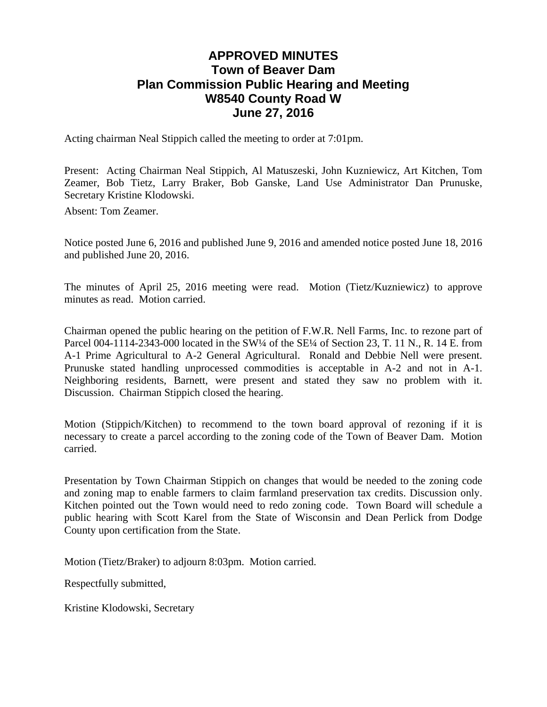# **APPROVED MINUTES Town of Beaver Dam Plan Commission Public Hearing and Meeting W8540 County Road W June 27, 2016**

Acting chairman Neal Stippich called the meeting to order at 7:01pm.

Present: Acting Chairman Neal Stippich, Al Matuszeski, John Kuzniewicz, Art Kitchen, Tom Zeamer, Bob Tietz, Larry Braker, Bob Ganske, Land Use Administrator Dan Prunuske, Secretary Kristine Klodowski.

Absent: Tom Zeamer.

Notice posted June 6, 2016 and published June 9, 2016 and amended notice posted June 18, 2016 and published June 20, 2016.

The minutes of April 25, 2016 meeting were read. Motion (Tietz/Kuzniewicz) to approve minutes as read. Motion carried.

Chairman opened the public hearing on the petition of F.W.R. Nell Farms, Inc. to rezone part of Parcel 004-1114-2343-000 located in the SW¼ of the SE¼ of Section 23, T. 11 N., R. 14 E. from A-1 Prime Agricultural to A-2 General Agricultural. Ronald and Debbie Nell were present. Prunuske stated handling unprocessed commodities is acceptable in A-2 and not in A-1. Neighboring residents, Barnett, were present and stated they saw no problem with it. Discussion. Chairman Stippich closed the hearing.

Motion (Stippich/Kitchen) to recommend to the town board approval of rezoning if it is necessary to create a parcel according to the zoning code of the Town of Beaver Dam. Motion carried.

Presentation by Town Chairman Stippich on changes that would be needed to the zoning code and zoning map to enable farmers to claim farmland preservation tax credits. Discussion only. Kitchen pointed out the Town would need to redo zoning code. Town Board will schedule a public hearing with Scott Karel from the State of Wisconsin and Dean Perlick from Dodge County upon certification from the State.

Motion (Tietz/Braker) to adjourn 8:03pm. Motion carried.

Respectfully submitted,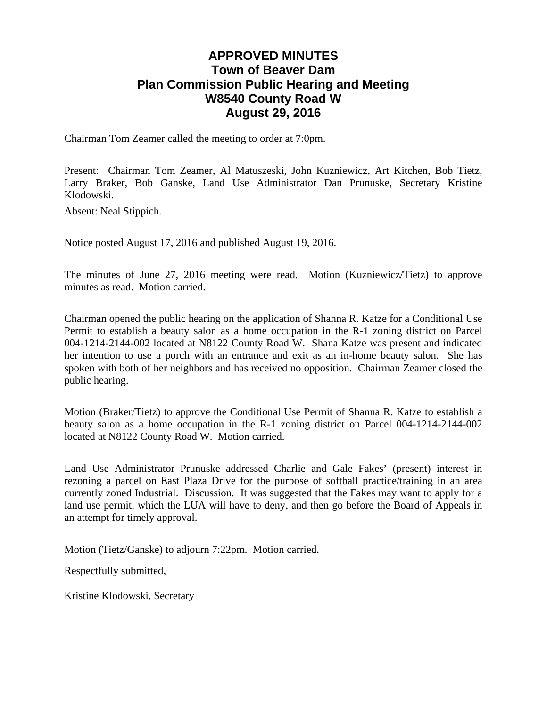# **APPROVED MINUTES Town of Beaver Dam Plan Commission Public Hearing and Meeting W8540 County Road W August 29, 2016**

Chairman Tom Zeamer called the meeting to order at 7:0pm.

Present: Chairman Tom Zeamer, Al Matuszeski, John Kuzniewicz, Art Kitchen, Bob Tietz, Larry Braker, Bob Ganske, Land Use Administrator Dan Prunuske, Secretary Kristine Klodowski.

Absent: Neal Stippich.

Notice posted August 17, 2016 and published August 19, 2016.

The minutes of June 27, 2016 meeting were read. Motion (Kuzniewicz/Tietz) to approve minutes as read. Motion carried.

Chairman opened the public hearing on the application of Shanna R. Katze for a Conditional Use Permit to establish a beauty salon as a home occupation in the R-1 zoning district on Parcel 004-1214-2144-002 located at N8122 County Road W. Shana Katze was present and indicated her intention to use a porch with an entrance and exit as an in-home beauty salon. She has spoken with both of her neighbors and has received no opposition. Chairman Zeamer closed the public hearing.

Motion (Braker/Tietz) to approve the Conditional Use Permit of Shanna R. Katze to establish a beauty salon as a home occupation in the R-1 zoning district on Parcel 004-1214-2144-002 located at N8122 County Road W. Motion carried.

Land Use Administrator Prunuske addressed Charlie and Gale Fakes' (present) interest in rezoning a parcel on East Plaza Drive for the purpose of softball practice/training in an area currently zoned Industrial. Discussion. It was suggested that the Fakes may want to apply for a land use permit, which the LUA will have to deny, and then go before the Board of Appeals in an attempt for timely approval.

Motion (Tietz/Ganske) to adjourn 7:22pm. Motion carried.

Respectfully submitted,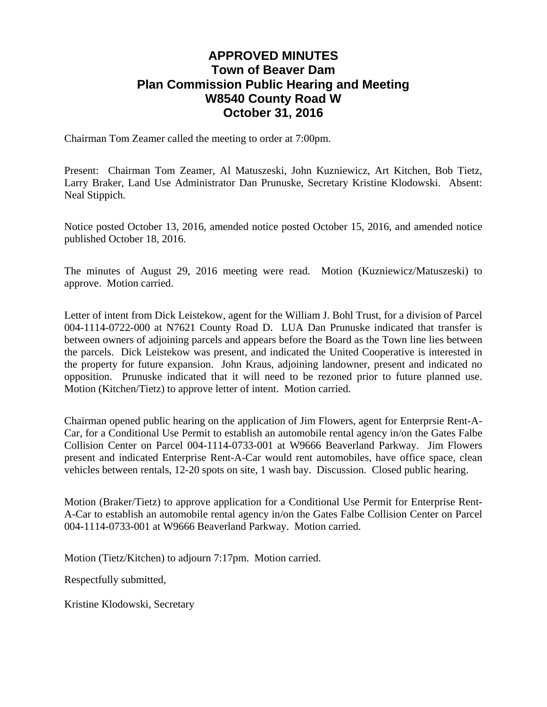# **APPROVED MINUTES Town of Beaver Dam Plan Commission Public Hearing and Meeting W8540 County Road W October 31, 2016**

Chairman Tom Zeamer called the meeting to order at 7:00pm.

Present: Chairman Tom Zeamer, Al Matuszeski, John Kuzniewicz, Art Kitchen, Bob Tietz, Larry Braker, Land Use Administrator Dan Prunuske, Secretary Kristine Klodowski. Absent: Neal Stippich.

Notice posted October 13, 2016, amended notice posted October 15, 2016, and amended notice published October 18, 2016.

The minutes of August 29, 2016 meeting were read. Motion (Kuzniewicz/Matuszeski) to approve. Motion carried.

Letter of intent from Dick Leistekow, agent for the William J. Bohl Trust, for a division of Parcel 004-1114-0722-000 at N7621 County Road D. LUA Dan Prunuske indicated that transfer is between owners of adjoining parcels and appears before the Board as the Town line lies between the parcels. Dick Leistekow was present, and indicated the United Cooperative is interested in the property for future expansion. John Kraus, adjoining landowner, present and indicated no opposition. Prunuske indicated that it will need to be rezoned prior to future planned use. Motion (Kitchen/Tietz) to approve letter of intent. Motion carried.

Chairman opened public hearing on the application of Jim Flowers, agent for Enterprsie Rent-A-Car, for a Conditional Use Permit to establish an automobile rental agency in/on the Gates Falbe Collision Center on Parcel 004-1114-0733-001 at W9666 Beaverland Parkway. Jim Flowers present and indicated Enterprise Rent-A-Car would rent automobiles, have office space, clean vehicles between rentals, 12-20 spots on site, 1 wash bay. Discussion. Closed public hearing.

Motion (Braker/Tietz) to approve application for a Conditional Use Permit for Enterprise Rent-A-Car to establish an automobile rental agency in/on the Gates Falbe Collision Center on Parcel 004-1114-0733-001 at W9666 Beaverland Parkway. Motion carried.

Motion (Tietz/Kitchen) to adjourn 7:17pm. Motion carried.

Respectfully submitted,